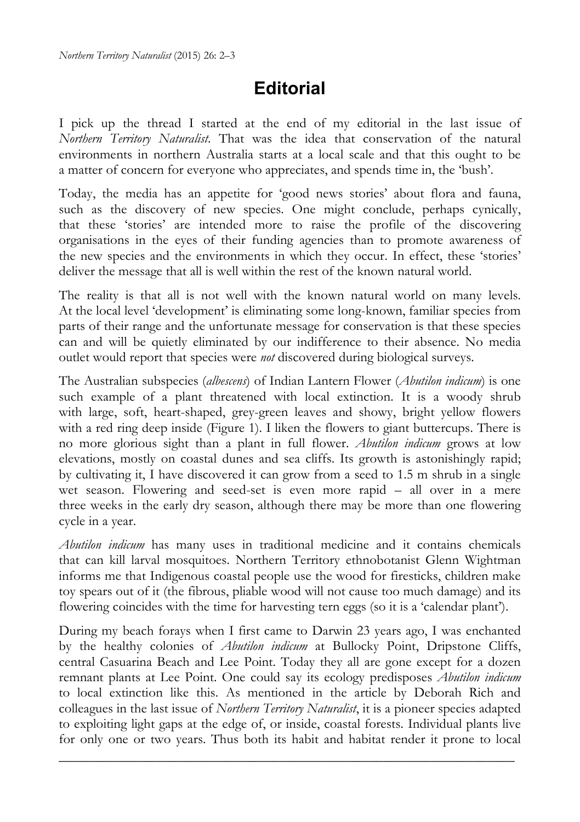## **Editorial**

I pick up the thread I started at the end of my editorial in the last issue of *Northern Territory Naturalist*. That was the idea that conservation of the natural environments in northern Australia starts at a local scale and that this ought to be a matter of concern for everyone who appreciates, and spends time in, the 'bush'.

Today, the media has an appetite for 'good news stories' about flora and fauna, such as the discovery of new species. One might conclude, perhaps cynically, that these 'stories' are intended more to raise the profile of the discovering organisations in the eyes of their funding agencies than to promote awareness of the new species and the environments in which they occur. In effect, these 'stories' deliver the message that all is well within the rest of the known natural world.

The reality is that all is not well with the known natural world on many levels. At the local level 'development' is eliminating some long-known, familiar species from parts of their range and the unfortunate message for conservation is that these species can and will be quietly eliminated by our indifference to their absence. No media outlet would report that species were *not* discovered during biological surveys.

The Australian subspecies (*albescens*) of Indian Lantern Flower (*Abutilon indicum*) is one such example of a plant threatened with local extinction. It is a woody shrub with large, soft, heart-shaped, grey-green leaves and showy, bright yellow flowers with a red ring deep inside (Figure 1). I liken the flowers to giant buttercups. There is no more glorious sight than a plant in full flower. *Abutilon indicum* grows at low elevations, mostly on coastal dunes and sea cliffs. Its growth is astonishingly rapid; by cultivating it, I have discovered it can grow from a seed to 1.5 m shrub in a single wet season. Flowering and seed-set is even more rapid – all over in a mere three weeks in the early dry season, although there may be more than one flowering cycle in a year.

*Abutilon indicum* has many uses in traditional medicine and it contains chemicals that can kill larval mosquitoes. Northern Territory ethnobotanist Glenn Wightman informs me that Indigenous coastal people use the wood for firesticks, children make toy spears out of it (the fibrous, pliable wood will not cause too much damage) and its flowering coincides with the time for harvesting tern eggs (so it is a 'calendar plant').

During my beach forays when I first came to Darwin 23 years ago, I was enchanted by the healthy colonies of *Abutilon indicum* at Bullocky Point, Dripstone Cliffs, central Casuarina Beach and Lee Point. Today they all are gone except for a dozen remnant plants at Lee Point. One could say its ecology predisposes *Abutilon indicum* to local extinction like this. As mentioned in the article by Deborah Rich and colleagues in the last issue of *Northern Territory Naturalist*, it is a pioneer species adapted to exploiting light gaps at the edge of, or inside, coastal forests. Individual plants live for only one or two years. Thus both its habit and habitat render it prone to local

\_\_\_\_\_\_\_\_\_\_\_\_\_\_\_\_\_\_\_\_\_\_\_\_\_\_\_\_\_\_\_\_\_\_\_\_\_\_\_\_\_\_\_\_\_\_\_\_\_\_\_\_\_\_\_\_\_\_\_\_\_\_\_\_\_\_